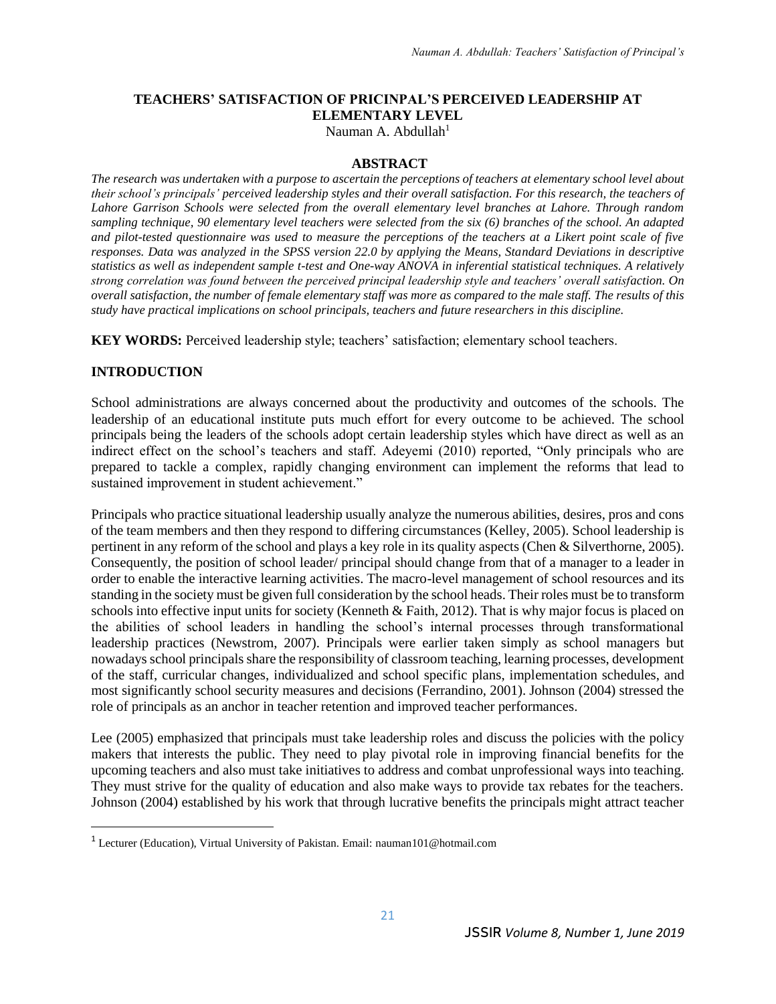# **TEACHERS' SATISFACTION OF PRICINPAL'S PERCEIVED LEADERSHIP AT ELEMENTARY LEVEL**

Nauman A. Abdullah<sup>1</sup>

#### **ABSTRACT**

*The research was undertaken with a purpose to ascertain the perceptions of teachers at elementary school level about their school's principals' perceived leadership styles and their overall satisfaction. For this research, the teachers of Lahore Garrison Schools were selected from the overall elementary level branches at Lahore. Through random sampling technique, 90 elementary level teachers were selected from the six (6) branches of the school. An adapted and pilot-tested questionnaire was used to measure the perceptions of the teachers at a Likert point scale of five responses. Data was analyzed in the SPSS version 22.0 by applying the Means, Standard Deviations in descriptive statistics as well as independent sample t-test and One-way ANOVA in inferential statistical techniques. A relatively strong correlation was found between the perceived principal leadership style and teachers' overall satisfaction. On overall satisfaction, the number of female elementary staff was more as compared to the male staff. The results of this study have practical implications on school principals, teachers and future researchers in this discipline.*

**KEY WORDS:** Perceived leadership style; teachers' satisfaction; elementary school teachers.

#### **INTRODUCTION**

 $\overline{a}$ 

School administrations are always concerned about the productivity and outcomes of the schools. The leadership of an educational institute puts much effort for every outcome to be achieved. The school principals being the leaders of the schools adopt certain leadership styles which have direct as well as an indirect effect on the school's teachers and staff. Adeyemi (2010) reported, "Only principals who are prepared to tackle a complex, rapidly changing environment can implement the reforms that lead to sustained improvement in student achievement."

Principals who practice situational leadership usually analyze the numerous abilities, desires, pros and cons of the team members and then they respond to differing circumstances (Kelley, 2005). School leadership is pertinent in any reform of the school and plays a key role in its quality aspects (Chen & Silverthorne, 2005). Consequently, the position of school leader/ principal should change from that of a manager to a leader in order to enable the interactive learning activities. The macro-level management of school resources and its standing in the society must be given full consideration by the school heads. Their roles must be to transform schools into effective input units for society (Kenneth & Faith, 2012). That is why major focus is placed on the abilities of school leaders in handling the school's internal processes through transformational leadership practices (Newstrom, 2007). Principals were earlier taken simply as school managers but nowadays school principals share the responsibility of classroom teaching, learning processes, development of the staff, curricular changes, individualized and school specific plans, implementation schedules, and most significantly school security measures and decisions (Ferrandino, 2001). Johnson (2004) stressed the role of principals as an anchor in teacher retention and improved teacher performances.

Lee (2005) emphasized that principals must take leadership roles and discuss the policies with the policy makers that interests the public. They need to play pivotal role in improving financial benefits for the upcoming teachers and also must take initiatives to address and combat unprofessional ways into teaching. They must strive for the quality of education and also make ways to provide tax rebates for the teachers. Johnson (2004) established by his work that through lucrative benefits the principals might attract teacher

<sup>1</sup> Lecturer (Education), Virtual University of Pakistan. Email: [nauman101@hotmail.com](mailto:nauman101@hotmail.com)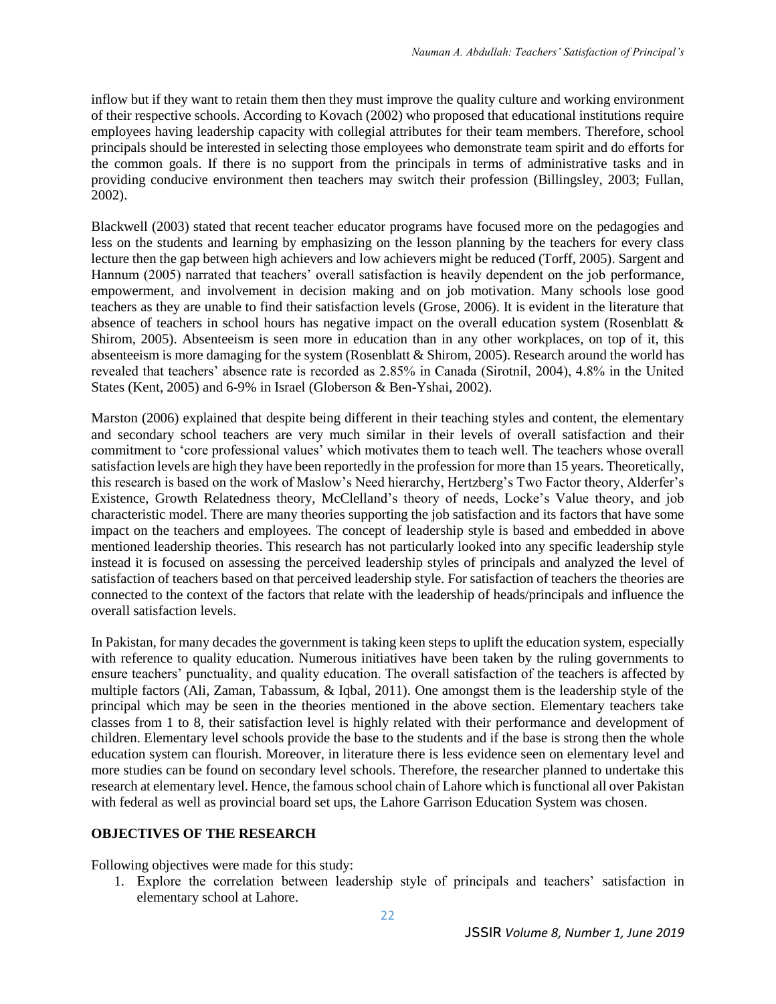inflow but if they want to retain them then they must improve the quality culture and working environment of their respective schools. According to Kovach (2002) who proposed that educational institutions require employees having leadership capacity with collegial attributes for their team members. Therefore, school principals should be interested in selecting those employees who demonstrate team spirit and do efforts for the common goals. If there is no support from the principals in terms of administrative tasks and in providing conducive environment then teachers may switch their profession (Billingsley, 2003; Fullan, 2002).

Blackwell (2003) stated that recent teacher educator programs have focused more on the pedagogies and less on the students and learning by emphasizing on the lesson planning by the teachers for every class lecture then the gap between high achievers and low achievers might be reduced (Torff, 2005). Sargent and Hannum (2005) narrated that teachers' overall satisfaction is heavily dependent on the job performance, empowerment, and involvement in decision making and on job motivation. Many schools lose good teachers as they are unable to find their satisfaction levels (Grose, 2006). It is evident in the literature that absence of teachers in school hours has negative impact on the overall education system (Rosenblatt & Shirom, 2005). Absenteeism is seen more in education than in any other workplaces, on top of it, this absenteeism is more damaging for the system (Rosenblatt & Shirom, 2005). Research around the world has revealed that teachers' absence rate is recorded as 2.85% in Canada (Sirotnil, 2004), 4.8% in the United States (Kent, 2005) and 6-9% in Israel (Globerson & Ben-Yshai, 2002).

Marston (2006) explained that despite being different in their teaching styles and content, the elementary and secondary school teachers are very much similar in their levels of overall satisfaction and their commitment to 'core professional values' which motivates them to teach well. The teachers whose overall satisfaction levels are high they have been reportedly in the profession for more than 15 years. Theoretically, this research is based on the work of Maslow's Need hierarchy, Hertzberg's Two Factor theory, Alderfer's Existence, Growth Relatedness theory, McClelland's theory of needs, Locke's Value theory, and job characteristic model. There are many theories supporting the job satisfaction and its factors that have some impact on the teachers and employees. The concept of leadership style is based and embedded in above mentioned leadership theories. This research has not particularly looked into any specific leadership style instead it is focused on assessing the perceived leadership styles of principals and analyzed the level of satisfaction of teachers based on that perceived leadership style. For satisfaction of teachers the theories are connected to the context of the factors that relate with the leadership of heads/principals and influence the overall satisfaction levels.

In Pakistan, for many decades the government is taking keen steps to uplift the education system, especially with reference to quality education. Numerous initiatives have been taken by the ruling governments to ensure teachers' punctuality, and quality education. The overall satisfaction of the teachers is affected by multiple factors (Ali, Zaman, Tabassum, & Iqbal, 2011). One amongst them is the leadership style of the principal which may be seen in the theories mentioned in the above section. Elementary teachers take classes from 1 to 8, their satisfaction level is highly related with their performance and development of children. Elementary level schools provide the base to the students and if the base is strong then the whole education system can flourish. Moreover, in literature there is less evidence seen on elementary level and more studies can be found on secondary level schools. Therefore, the researcher planned to undertake this research at elementary level. Hence, the famous school chain of Lahore which is functional all over Pakistan with federal as well as provincial board set ups, the Lahore Garrison Education System was chosen.

### **OBJECTIVES OF THE RESEARCH**

Following objectives were made for this study:

1. Explore the correlation between leadership style of principals and teachers' satisfaction in elementary school at Lahore.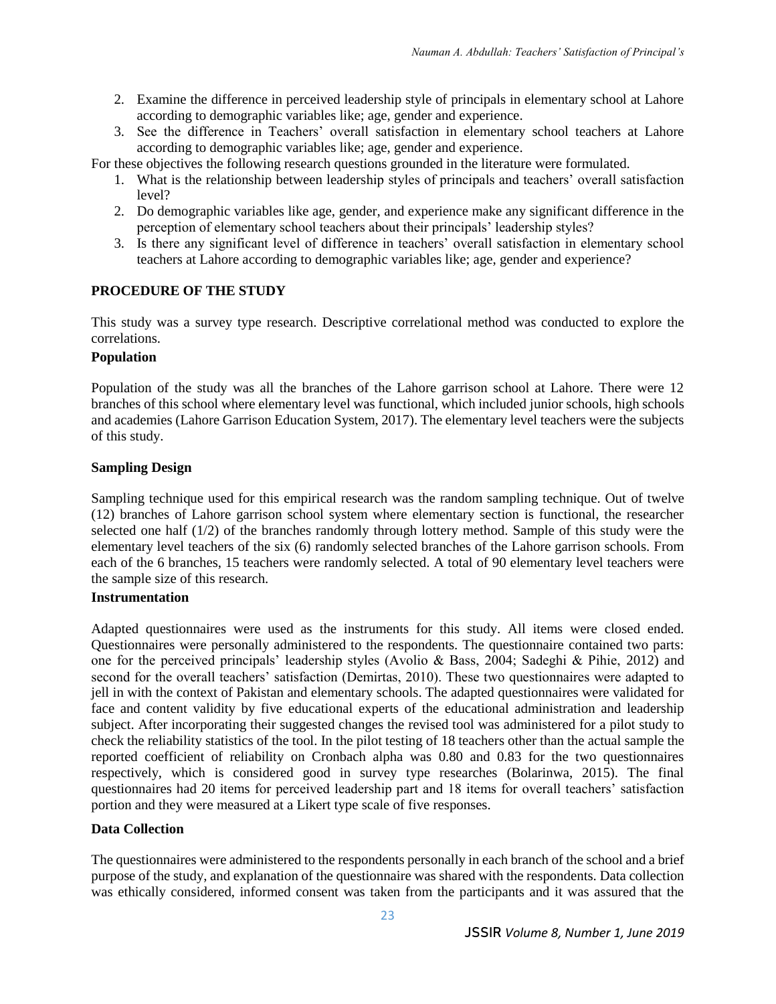- 2. Examine the difference in perceived leadership style of principals in elementary school at Lahore according to demographic variables like; age, gender and experience.
- 3. See the difference in Teachers' overall satisfaction in elementary school teachers at Lahore according to demographic variables like; age, gender and experience.
- For these objectives the following research questions grounded in the literature were formulated.
	- 1. What is the relationship between leadership styles of principals and teachers' overall satisfaction level?
	- 2. Do demographic variables like age, gender, and experience make any significant difference in the perception of elementary school teachers about their principals' leadership styles?
	- 3. Is there any significant level of difference in teachers' overall satisfaction in elementary school teachers at Lahore according to demographic variables like; age, gender and experience?

### **PROCEDURE OF THE STUDY**

This study was a survey type research. Descriptive correlational method was conducted to explore the correlations.

### **Population**

Population of the study was all the branches of the Lahore garrison school at Lahore. There were 12 branches of this school where elementary level was functional, which included junior schools, high schools and academies (Lahore Garrison Education System, 2017). The elementary level teachers were the subjects of this study.

### **Sampling Design**

Sampling technique used for this empirical research was the random sampling technique. Out of twelve (12) branches of Lahore garrison school system where elementary section is functional, the researcher selected one half (1/2) of the branches randomly through lottery method. Sample of this study were the elementary level teachers of the six (6) randomly selected branches of the Lahore garrison schools. From each of the 6 branches, 15 teachers were randomly selected. A total of 90 elementary level teachers were the sample size of this research.

### **Instrumentation**

Adapted questionnaires were used as the instruments for this study. All items were closed ended. Questionnaires were personally administered to the respondents. The questionnaire contained two parts: one for the perceived principals' leadership styles (Avolio & Bass, 2004; Sadeghi & Pihie, 2012) and second for the overall teachers' satisfaction (Demirtas, 2010). These two questionnaires were adapted to jell in with the context of Pakistan and elementary schools. The adapted questionnaires were validated for face and content validity by five educational experts of the educational administration and leadership subject. After incorporating their suggested changes the revised tool was administered for a pilot study to check the reliability statistics of the tool. In the pilot testing of 18 teachers other than the actual sample the reported coefficient of reliability on Cronbach alpha was 0.80 and 0.83 for the two questionnaires respectively, which is considered good in survey type researches (Bolarinwa, 2015). The final questionnaires had 20 items for perceived leadership part and 18 items for overall teachers' satisfaction portion and they were measured at a Likert type scale of five responses.

### **Data Collection**

The questionnaires were administered to the respondents personally in each branch of the school and a brief purpose of the study, and explanation of the questionnaire was shared with the respondents. Data collection was ethically considered, informed consent was taken from the participants and it was assured that the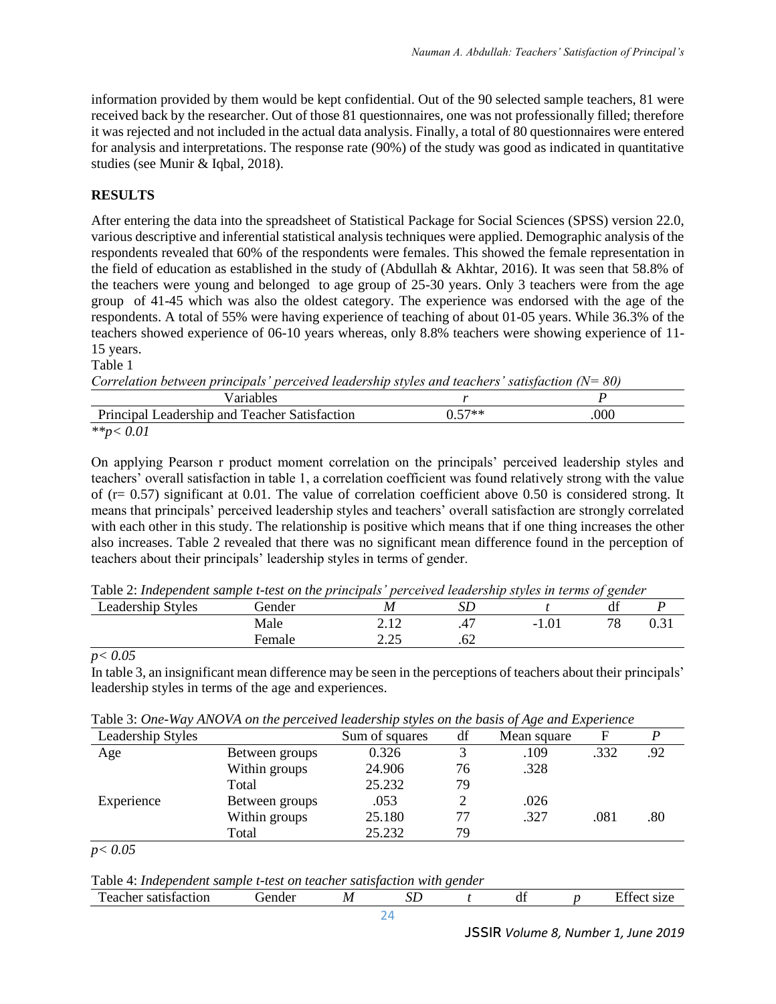information provided by them would be kept confidential. Out of the 90 selected sample teachers, 81 were received back by the researcher. Out of those 81 questionnaires, one was not professionally filled; therefore it was rejected and not included in the actual data analysis. Finally, a total of 80 questionnaires were entered for analysis and interpretations. The response rate (90%) of the study was good as indicated in quantitative studies (see Munir & Iqbal, 2018).

## **RESULTS**

After entering the data into the spreadsheet of Statistical Package for Social Sciences (SPSS) version 22.0, various descriptive and inferential statistical analysis techniques were applied. Demographic analysis of the respondents revealed that 60% of the respondents were females. This showed the female representation in the field of education as established in the study of (Abdullah & Akhtar, 2016). It was seen that 58.8% of the teachers were young and belonged to age group of 25-30 years. Only 3 teachers were from the age group of 41-45 which was also the oldest category. The experience was endorsed with the age of the respondents. A total of 55% were having experience of teaching of about 01-05 years. While 36.3% of the teachers showed experience of 06-10 years whereas, only 8.8% teachers were showing experience of 11- 15 years.

Table 1

*Correlation between principals' perceived leadership styles and teachers' satisfaction (N= 80)*

| <sup>7</sup> ariables                              |        |     |
|----------------------------------------------------|--------|-----|
| Principal I<br>Leadership and Teacher Satisfaction | በ 57** | 000 |
| $***-$                                             |        |     |

On applying Pearson r product moment correlation on the principals' perceived leadership styles and teachers' overall satisfaction in table 1, a correlation coefficient was found relatively strong with the value of ( $r= 0.57$ ) significant at 0.01. The value of correlation coefficient above 0.50 is considered strong. It means that principals' perceived leadership styles and teachers' overall satisfaction are strongly correlated with each other in this study. The relationship is positive which means that if one thing increases the other also increases. Table 2 revealed that there was no significant mean difference found in the perception of teachers about their principals' leadership styles in terms of gender.

| Table 2: Independent sample t-test on the principals' perceived leadership styles in terms of gender |          |   |  |  |  |
|------------------------------------------------------------------------------------------------------|----------|---|--|--|--|
| <b>Leadership Styles</b>                                                                             | . iender | M |  |  |  |

#### *p< 0.05*

In table 3, an insignificant mean difference may be seen in the perceptions of teachers about their principals' leadership styles in terms of the age and experiences.

Male 2.12 .47 -1.01 78 0.31

| Leadership Styles |                | Sum of squares | df | Mean square |      |     |
|-------------------|----------------|----------------|----|-------------|------|-----|
| Age               | Between groups | 0.326          |    | .109        | .332 | .92 |
|                   | Within groups  | 24.906         | 76 | .328        |      |     |
|                   | Total          | 25.232         | 79 |             |      |     |
| Experience        | Between groups | .053           |    | .026        |      |     |
|                   | Within groups  | 25.180         |    | .327        | .081 | .80 |
|                   | Total          | 25.232         | 79 |             |      |     |

Table 3: *One-Way ANOVA on the perceived leadership styles on the basis of Age and Experience*

Female 2.25 .62

*p< 0.05*

Table 4: *Independent sample t-test on teacher satisfaction with gender*

| satisfaction<br>. eacher | . <del>i</del> ender | $\overline{M}$<br>17 L | பட | u | $\blacksquare$<br>31 L.V |
|--------------------------|----------------------|------------------------|----|---|--------------------------|
|                          |                      |                        |    |   |                          |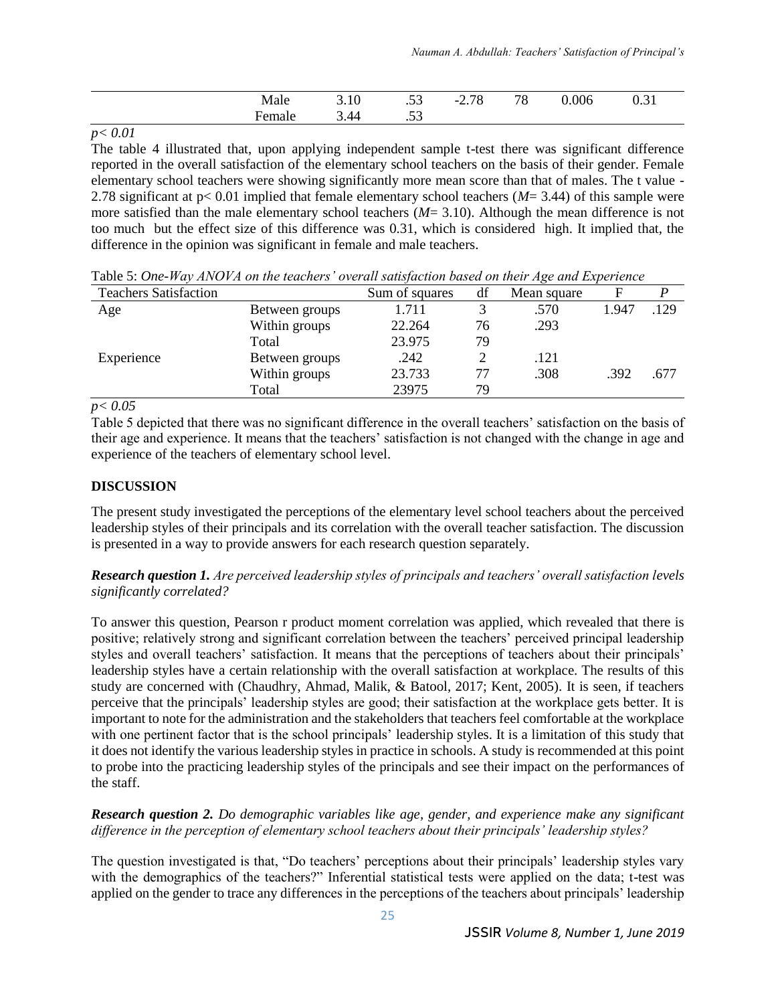| $M_{\odot}$<br>ait<br>. | 3.10 | $\sim$<br>$\sim$        | 70<br>$\overline{\phantom{0}}$<br>$\sim$ ., $\sim$ | 70<br>$\circ$ | v.vi |
|-------------------------|------|-------------------------|----------------------------------------------------|---------------|------|
|                         | 44   | $\sim$ $\sim$<br>$\sim$ |                                                    |               |      |

*p< 0.01*

The table 4 illustrated that, upon applying independent sample t-test there was significant difference reported in the overall satisfaction of the elementary school teachers on the basis of their gender. Female elementary school teachers were showing significantly more mean score than that of males. The t value - 2.78 significant at p< 0.01 implied that female elementary school teachers (*M*= 3.44) of this sample were more satisfied than the male elementary school teachers (*M*= 3.10). Although the mean difference is not too much but the effect size of this difference was 0.31, which is considered high. It implied that, the difference in the opinion was significant in female and male teachers.

| <b>Teachers Satisfaction</b> |                | Sum of squares | df | Mean square | F     |      |
|------------------------------|----------------|----------------|----|-------------|-------|------|
| Age                          | Between groups | 1.711          |    | .570        | 1.947 | .129 |
|                              | Within groups  | 22.264         | 76 | .293        |       |      |
|                              | Total          | 23.975         | 79 |             |       |      |
| Experience                   | Between groups | .242           |    | .121        |       |      |
|                              | Within groups  | 23.733         | 77 | .308        | .392  | .677 |
|                              | Total          | 23975          | 79 |             |       |      |

Table 5: *One-Way ANOVA on the teachers' overall satisfaction based on their Age and Experience*

*p< 0.05*

Table 5 depicted that there was no significant difference in the overall teachers' satisfaction on the basis of their age and experience. It means that the teachers' satisfaction is not changed with the change in age and experience of the teachers of elementary school level.

### **DISCUSSION**

The present study investigated the perceptions of the elementary level school teachers about the perceived leadership styles of their principals and its correlation with the overall teacher satisfaction. The discussion is presented in a way to provide answers for each research question separately.

*Research question 1. Are perceived leadership styles of principals and teachers' overall satisfaction levels significantly correlated?*

To answer this question, Pearson r product moment correlation was applied, which revealed that there is positive; relatively strong and significant correlation between the teachers' perceived principal leadership styles and overall teachers' satisfaction. It means that the perceptions of teachers about their principals' leadership styles have a certain relationship with the overall satisfaction at workplace. The results of this study are concerned with (Chaudhry, Ahmad, Malik, & Batool, 2017; Kent, 2005). It is seen, if teachers perceive that the principals' leadership styles are good; their satisfaction at the workplace gets better. It is important to note for the administration and the stakeholders that teachers feel comfortable at the workplace with one pertinent factor that is the school principals' leadership styles. It is a limitation of this study that it does not identify the various leadership styles in practice in schools. A study is recommended at this point to probe into the practicing leadership styles of the principals and see their impact on the performances of the staff.

### *Research question 2. Do demographic variables like age, gender, and experience make any significant difference in the perception of elementary school teachers about their principals' leadership styles?*

The question investigated is that, "Do teachers' perceptions about their principals' leadership styles vary with the demographics of the teachers?" Inferential statistical tests were applied on the data; t-test was applied on the gender to trace any differences in the perceptions of the teachers about principals' leadership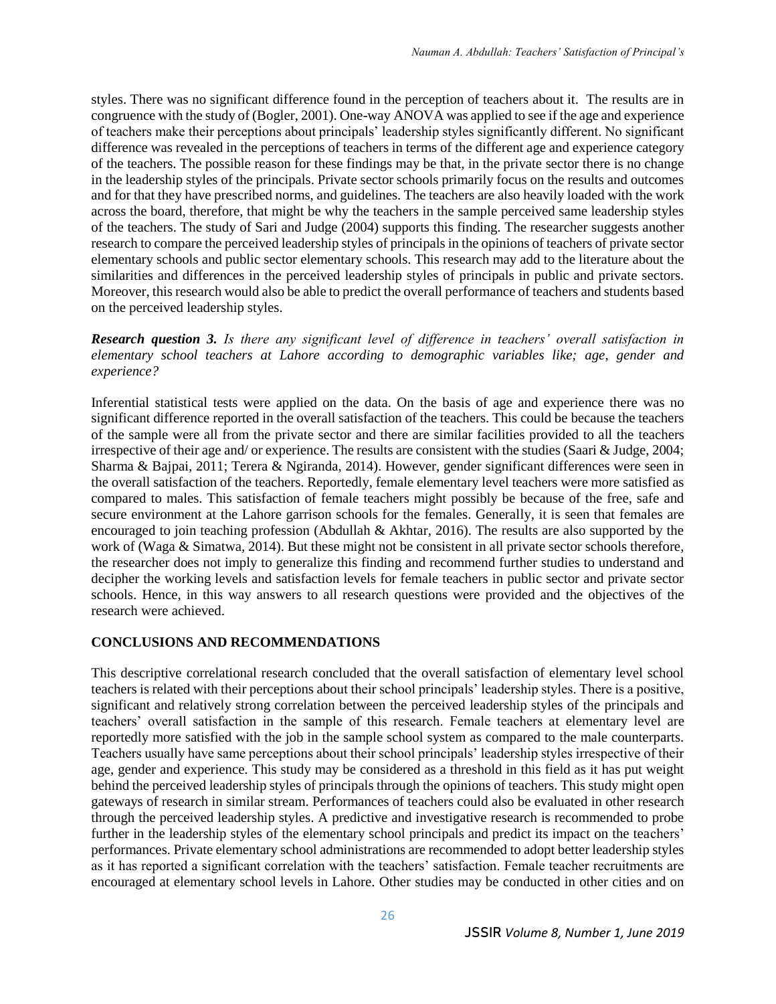styles. There was no significant difference found in the perception of teachers about it. The results are in congruence with the study of (Bogler, 2001). One-way ANOVA was applied to see if the age and experience of teachers make their perceptions about principals' leadership styles significantly different. No significant difference was revealed in the perceptions of teachers in terms of the different age and experience category of the teachers. The possible reason for these findings may be that, in the private sector there is no change in the leadership styles of the principals. Private sector schools primarily focus on the results and outcomes and for that they have prescribed norms, and guidelines. The teachers are also heavily loaded with the work across the board, therefore, that might be why the teachers in the sample perceived same leadership styles of the teachers. The study of Sari and Judge (2004) supports this finding. The researcher suggests another research to compare the perceived leadership styles of principals in the opinions of teachers of private sector elementary schools and public sector elementary schools. This research may add to the literature about the similarities and differences in the perceived leadership styles of principals in public and private sectors. Moreover, this research would also be able to predict the overall performance of teachers and students based on the perceived leadership styles.

*Research question 3. Is there any significant level of difference in teachers' overall satisfaction in elementary school teachers at Lahore according to demographic variables like; age, gender and experience?*

Inferential statistical tests were applied on the data. On the basis of age and experience there was no significant difference reported in the overall satisfaction of the teachers. This could be because the teachers of the sample were all from the private sector and there are similar facilities provided to all the teachers irrespective of their age and/ or experience. The results are consistent with the studies (Saari & Judge, 2004; Sharma & Bajpai, 2011; Terera & Ngiranda, 2014). However, gender significant differences were seen in the overall satisfaction of the teachers. Reportedly, female elementary level teachers were more satisfied as compared to males. This satisfaction of female teachers might possibly be because of the free, safe and secure environment at the Lahore garrison schools for the females. Generally, it is seen that females are encouraged to join teaching profession (Abdullah & Akhtar, 2016). The results are also supported by the work of (Waga & Simatwa, 2014). But these might not be consistent in all private sector schools therefore, the researcher does not imply to generalize this finding and recommend further studies to understand and decipher the working levels and satisfaction levels for female teachers in public sector and private sector schools. Hence, in this way answers to all research questions were provided and the objectives of the research were achieved.

### **CONCLUSIONS AND RECOMMENDATIONS**

This descriptive correlational research concluded that the overall satisfaction of elementary level school teachers is related with their perceptions about their school principals' leadership styles. There is a positive, significant and relatively strong correlation between the perceived leadership styles of the principals and teachers' overall satisfaction in the sample of this research. Female teachers at elementary level are reportedly more satisfied with the job in the sample school system as compared to the male counterparts. Teachers usually have same perceptions about their school principals' leadership styles irrespective of their age, gender and experience. This study may be considered as a threshold in this field as it has put weight behind the perceived leadership styles of principals through the opinions of teachers. This study might open gateways of research in similar stream. Performances of teachers could also be evaluated in other research through the perceived leadership styles. A predictive and investigative research is recommended to probe further in the leadership styles of the elementary school principals and predict its impact on the teachers' performances. Private elementary school administrations are recommended to adopt better leadership styles as it has reported a significant correlation with the teachers' satisfaction. Female teacher recruitments are encouraged at elementary school levels in Lahore. Other studies may be conducted in other cities and on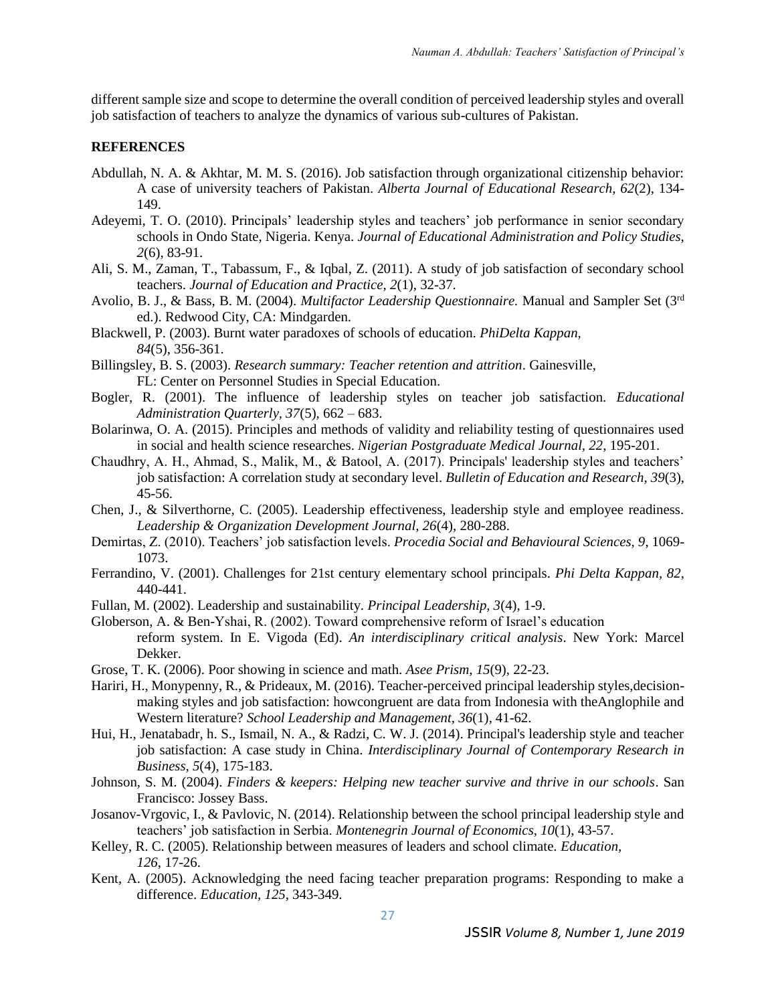different sample size and scope to determine the overall condition of perceived leadership styles and overall job satisfaction of teachers to analyze the dynamics of various sub-cultures of Pakistan.

#### **REFERENCES**

- Abdullah, N. A. & Akhtar, M. M. S. (2016). Job satisfaction through organizational citizenship behavior: A case of university teachers of Pakistan. *Alberta Journal of Educational Research, 62*(2), 134- 149.
- Adeyemi, T. O. (2010). Principals' leadership styles and teachers' job performance in senior secondary schools in Ondo State, Nigeria. Kenya. *Journal of Educational Administration and Policy Studies, 2*(6), 83-91.
- Ali, S. M., Zaman, T., Tabassum, F., & Iqbal, Z. (2011). A study of job satisfaction of secondary school teachers. *Journal of Education and Practice, 2*(1), 32-37.
- Avolio, B. J., & Bass, B. M. (2004). *Multifactor Leadership Questionnaire.* Manual and Sampler Set (3rd ed.). Redwood City, CA: Mindgarden.
- Blackwell, P. (2003). Burnt water paradoxes of schools of education. *PhiDelta Kappan, 84*(5), 356-361.
- Billingsley, B. S. (2003). *Research summary: Teacher retention and attrition*. Gainesville, FL: Center on Personnel Studies in Special Education.
- Bogler, R. (2001). The influence of leadership styles on teacher job satisfaction. *Educational Administration Quarterly, 37*(5)*,* 662 – 683.
- Bolarinwa, O. A. (2015). Principles and methods of validity and reliability testing of questionnaires used in social and health science researches. *Nigerian Postgraduate Medical Journal, 22*, 195-201.
- Chaudhry, A. H., Ahmad, S., Malik, M., & Batool, A. (2017). Principals' leadership styles and teachers' job satisfaction: A correlation study at secondary level. *Bulletin of Education and Research, 39*(3), 45-56.
- Chen, J., & Silverthorne, C. (2005). Leadership effectiveness, leadership style and employee readiness. *Leadership & Organization Development Journal, 26*(4), 280-288.
- Demirtas, Z. (2010). Teachers' job satisfaction levels. *Procedia Social and Behavioural Sciences, 9*, 1069- 1073.
- Ferrandino, V. (2001). Challenges for 21st century elementary school principals. *Phi Delta Kappan, 82*, 440-441.
- Fullan, M. (2002). Leadership and sustainability. *Principal Leadership, 3*(4), 1-9.
- Globerson, A. & Ben-Yshai, R. (2002). Toward comprehensive reform of Israel's education reform system. In E. Vigoda (Ed). *An interdisciplinary critical analysis*. New York: Marcel Dekker.
- Grose, T. K. (2006). Poor showing in science and math. *Asee Prism, 15*(9), 22-23.
- Hariri, H., Monypenny, R., & Prideaux, M. (2016). Teacher-perceived principal leadership styles,decisionmaking styles and job satisfaction: howcongruent are data from Indonesia with theAnglophile and Western literature? *School Leadership and Management, 36*(1), 41-62.
- Hui, H., Jenatabadr, h. S., Ismail, N. A., & Radzi, C. W. J. (2014). Principal's leadership style and teacher job satisfaction: A case study in China. *Interdisciplinary Journal of Contemporary Research in Business, 5*(4), 175-183.
- Johnson, S. M. (2004). *Finders & keepers: Helping new teacher survive and thrive in our schools*. San Francisco: Jossey Bass.
- Josanov-Vrgovic, I., & Pavlovic, N. (2014). Relationship between the school principal leadership style and teachers' job satisfaction in Serbia. *Montenegrin Journal of Economics, 10*(1), 43-57.
- Kelley, R. C. (2005). Relationship between measures of leaders and school climate. *Education, 126*, 17-26.
- Kent, A. (2005). Acknowledging the need facing teacher preparation programs: Responding to make a difference. *Education, 125*, 343-349.